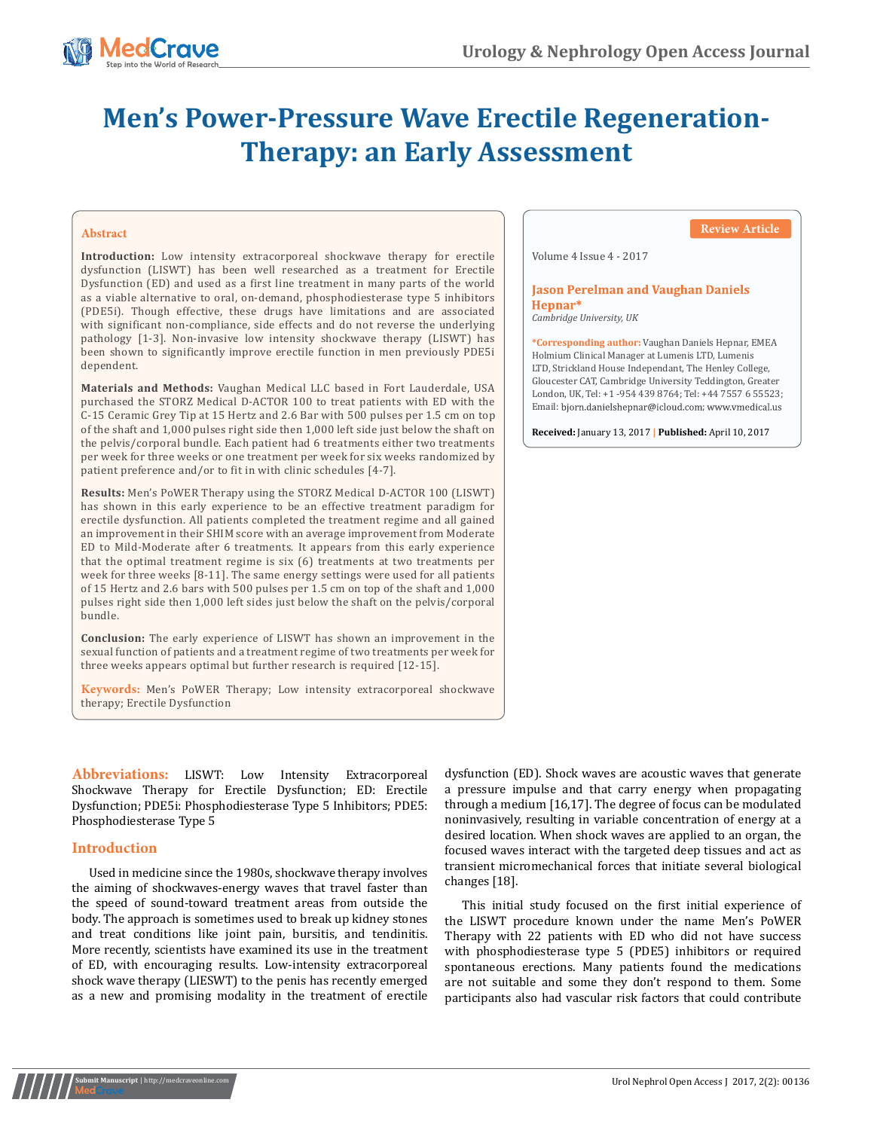

# **Men's Power-Pressure Wave Erectile Regeneration-Therapy: an Early Assessment**

## **Abstract**

**Introduction:** Low intensity extracorporeal shockwave therapy for erectile dysfunction (LISWT) has been well researched as a treatment for Erectile Dysfunction (ED) and used as a first line treatment in many parts of the world as a viable alternative to oral, on-demand, phosphodiesterase type 5 inhibitors (PDE5i). Though effective, these drugs have limitations and are associated with significant non-compliance, side effects and do not reverse the underlying pathology [1-3]. Non-invasive low intensity shockwave therapy (LISWT) has been shown to significantly improve erectile function in men previously PDE5i dependent.

**Materials and Methods:** Vaughan Medical LLC based in Fort Lauderdale, USA purchased the STORZ Medical D-ACTOR 100 to treat patients with ED with the C-15 Ceramic Grey Tip at 15 Hertz and 2.6 Bar with 500 pulses per 1.5 cm on top of the shaft and 1,000 pulses right side then 1,000 left side just below the shaft on the pelvis/corporal bundle. Each patient had 6 treatments either two treatments per week for three weeks or one treatment per week for six weeks randomized by patient preference and/or to fit in with clinic schedules [4-7].

**Results:** Men's PoWER Therapy using the STORZ Medical D-ACTOR 100 (LISWT) has shown in this early experience to be an effective treatment paradigm for erectile dysfunction. All patients completed the treatment regime and all gained an improvement in their SHIM score with an average improvement from Moderate ED to Mild-Moderate after 6 treatments. It appears from this early experience that the optimal treatment regime is six (6) treatments at two treatments per week for three weeks [8-11]. The same energy settings were used for all patients of 15 Hertz and 2.6 bars with 500 pulses per 1.5 cm on top of the shaft and 1,000 pulses right side then 1,000 left sides just below the shaft on the pelvis/corporal bundle.

**Conclusion:** The early experience of LISWT has shown an improvement in the sexual function of patients and a treatment regime of two treatments per week for three weeks appears optimal but further research is required [12-15].

**Keywords:** Men's PoWER Therapy; Low intensity extracorporeal shockwave therapy; Erectile Dysfunction

## **Review Article**

Volume 4 Issue 4 - 2017

## **Jason Perelman and Vaughan Daniels** Hepnar\*

*Cambridge University, UK*

**\*Corresponding author:** Vaughan Daniels Hepnar, EMEA Holmium Clinical Manager at Lumenis LTD, Lumenis LTD, Strickland House Independant, The Henley College, Gloucester CAT, Cambridge University Teddington, Greater London, UK, Tel: +1 -954 439 8764; Tel: +44 7557 6 55523; Email: bjorn.danielshepnar@icloud.com; www.vmedical.us

**Received:** January 13, 2017 **| Published:** April 10, 2017

**Abbreviations:** LISWT: Low Intensity Extracorporeal Shockwave Therapy for Erectile Dysfunction; ED: Erectile Dysfunction; PDE5i: Phosphodiesterase Type 5 Inhibitors; PDE5: Phosphodiesterase Type 5

# **Introduction**

Used in medicine since the 1980s, shockwave therapy involves the aiming of shockwaves-energy waves that travel faster than the speed of sound-toward treatment areas from outside the body. The approach is sometimes used to break up kidney stones and treat conditions like joint pain, bursitis, and tendinitis. More recently, scientists have examined its use in the treatment of ED, with encouraging results. Low-intensity extracorporeal shock wave therapy (LIESWT) to the penis has recently emerged as a new and promising modality in the treatment of erectile

dysfunction (ED). Shock waves are acoustic waves that generate a pressure impulse and that carry energy when propagating through a medium [16,17]. The degree of focus can be modulated noninvasively, resulting in variable concentration of energy at a desired location. When shock waves are applied to an organ, the focused waves interact with the targeted deep tissues and act as transient micromechanical forces that initiate several biological changes [18].

This initial study focused on the first initial experience of the LISWT procedure known under the name Men's PoWER Therapy with 22 patients with ED who did not have success with phosphodiesterase type 5 (PDE5) inhibitors or required spontaneous erections. Many patients found the medications are not suitable and some they don't respond to them. Some participants also had vascular risk factors that could contribute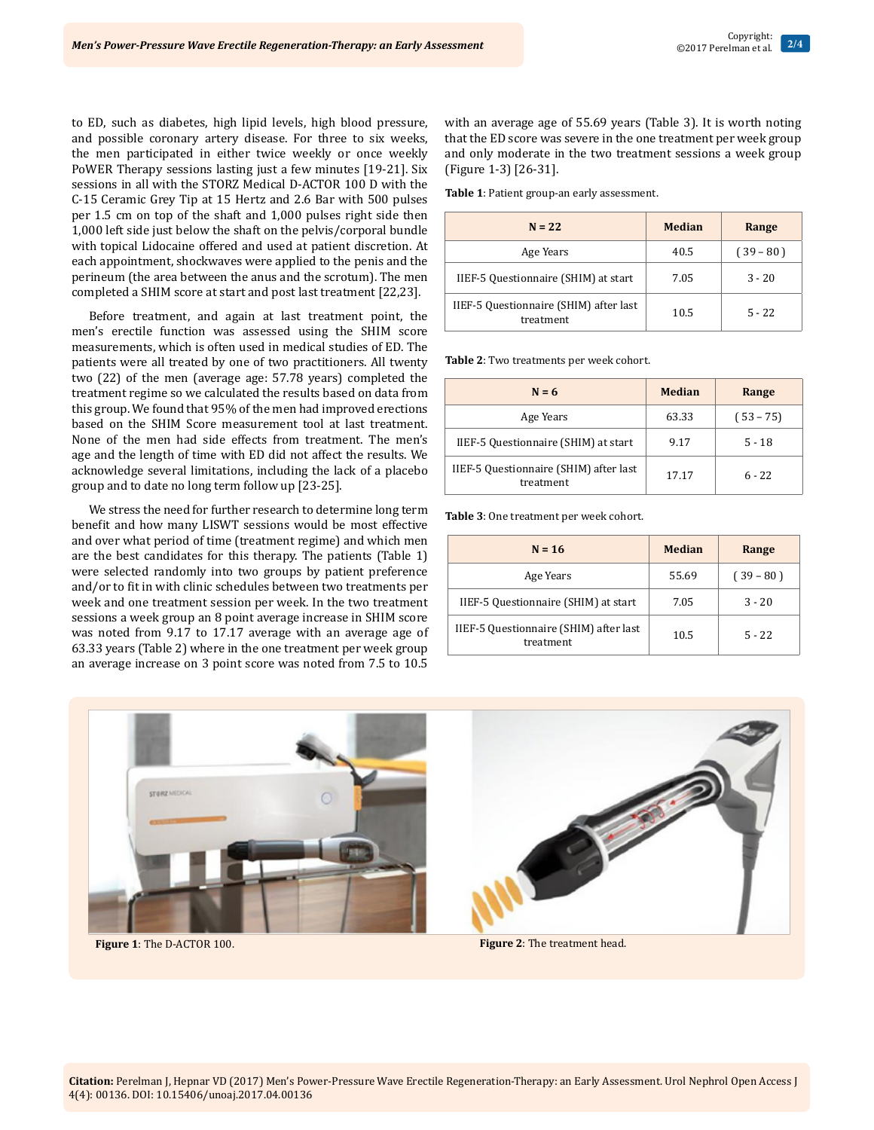to ED, such as diabetes, high lipid levels, high blood pressure, and possible coronary artery disease. For three to six weeks, the men participated in either twice weekly or once weekly PoWER Therapy sessions lasting just a few minutes [19-21]. Six sessions in all with the STORZ Medical D-ACTOR 100 D with the C-15 Ceramic Grey Tip at 15 Hertz and 2.6 Bar with 500 pulses per 1.5 cm on top of the shaft and 1,000 pulses right side then 1,000 left side just below the shaft on the pelvis/corporal bundle with topical Lidocaine offered and used at patient discretion. At each appointment, shockwaves were applied to the penis and the perineum (the area between the anus and the scrotum). The men completed a SHIM score at start and post last treatment [22,23].

Before treatment, and again at last treatment point, the men's erectile function was assessed using the SHIM score measurements, which is often used in medical studies of ED. The patients were all treated by one of two practitioners. All twenty two (22) of the men (average age: 57.78 years) completed the treatment regime so we calculated the results based on data from this group. We found that 95% of the men had improved erections based on the SHIM Score measurement tool at last treatment. None of the men had side effects from treatment. The men's age and the length of time with ED did not affect the results. We acknowledge several limitations, including the lack of a placebo group and to date no long term follow up [23-25].

We stress the need for further research to determine long term benefit and how many LISWT sessions would be most effective and over what period of time (treatment regime) and which men are the best candidates for this therapy. The patients (Table 1) were selected randomly into two groups by patient preference and/or to fit in with clinic schedules between two treatments per week and one treatment session per week. In the two treatment sessions a week group an 8 point average increase in SHIM score was noted from 9.17 to 17.17 average with an average age of 63.33 years (Table 2) where in the one treatment per week group an average increase on 3 point score was noted from 7.5 to 10.5

with an average age of 55.69 years (Table 3). It is worth noting that the ED score was severe in the one treatment per week group and only moderate in the two treatment sessions a week group (Figure 1-3) [26-31].

**Table 1**: Patient group-an early assessment.

| $N = 22$                                            | <b>Median</b> | Range       |
|-----------------------------------------------------|---------------|-------------|
| Age Years                                           | 40.5          | $(39 - 80)$ |
| IIEF-5 Questionnaire (SHIM) at start                | 7.05          | $3 - 20$    |
| IIEF-5 Questionnaire (SHIM) after last<br>treatment | 10.5          | $5 - 22$    |

**Table 2**: Two treatments per week cohort.

| $N = 6$                                             | <b>Median</b> | Range       |  |
|-----------------------------------------------------|---------------|-------------|--|
| Age Years                                           | 63.33         | $(53 - 75)$ |  |
| IIEF-5 Questionnaire (SHIM) at start                | 9.17          | $5 - 18$    |  |
| IIEF-5 Questionnaire (SHIM) after last<br>treatment | 17.17         | $6 - 22$    |  |

**Table 3**: One treatment per week cohort.

| $N = 16$                                            | Median | Range       |  |
|-----------------------------------------------------|--------|-------------|--|
| Age Years                                           | 55.69  | $(39 - 80)$ |  |
| IIEF-5 Questionnaire (SHIM) at start                | 7.05   | $3 - 20$    |  |
| IIEF-5 Questionnaire (SHIM) after last<br>treatment | 10.5   | $5 - 22$    |  |



**Figure 1**: The D-ACTOR 100. **Figure 2**: The treatment head.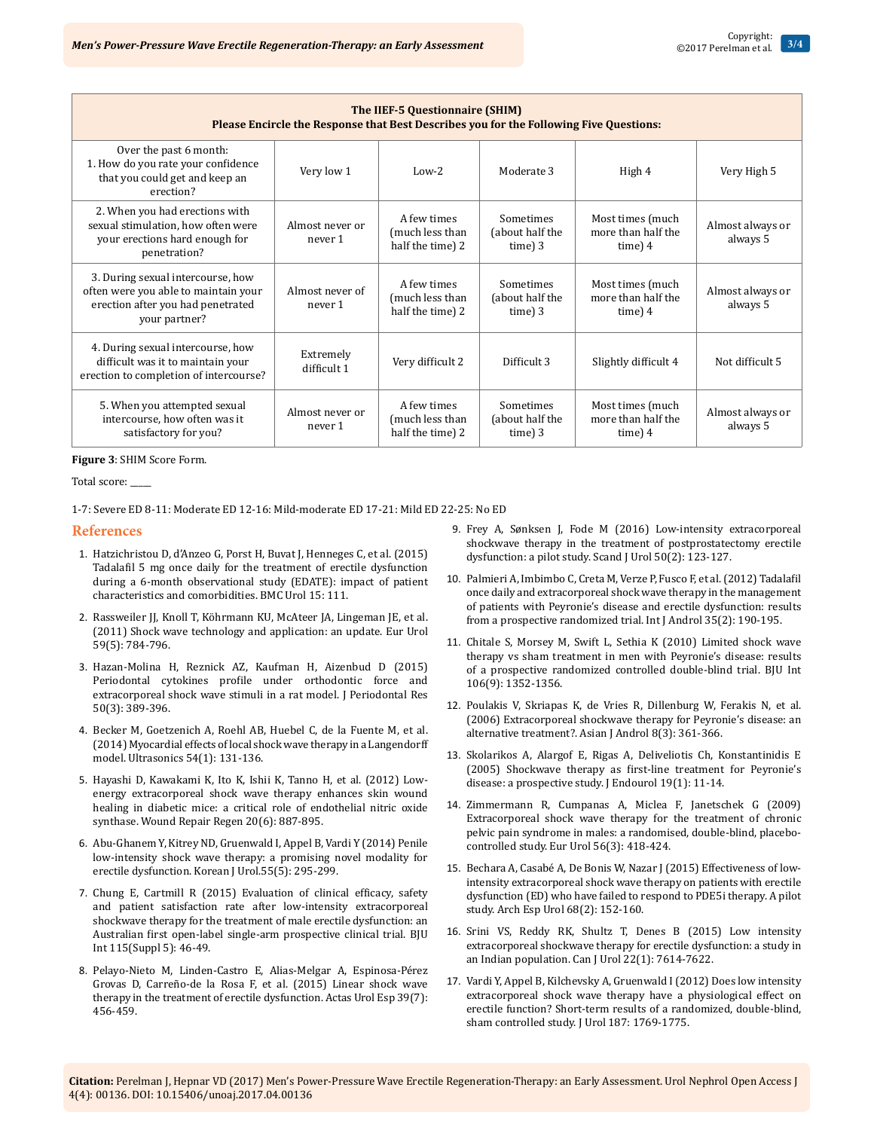| The IIEF-5 Questionnaire (SHIM)<br>Please Encircle the Response that Best Describes you for the Following Five Questions:       |                            |                                                    |                                         |                                                     |                              |  |  |  |
|---------------------------------------------------------------------------------------------------------------------------------|----------------------------|----------------------------------------------------|-----------------------------------------|-----------------------------------------------------|------------------------------|--|--|--|
| Over the past 6 month:<br>1. How do you rate your confidence<br>that you could get and keep an<br>erection?                     | Very low 1                 | $Low-2$                                            | Moderate 3                              | High 4                                              | Very High 5                  |  |  |  |
| 2. When you had erections with<br>sexual stimulation, how often were<br>your erections hard enough for<br>penetration?          | Almost never or<br>never 1 | A few times<br>(much less than<br>half the time) 2 | Sometimes<br>(about half the<br>time) 3 | Most times (much<br>more than half the<br>time) $4$ | Almost always or<br>always 5 |  |  |  |
| 3. During sexual intercourse, how<br>often were you able to maintain your<br>erection after you had penetrated<br>your partner? | Almost never of<br>never 1 | A few times<br>(much less than<br>half the time) 2 | Sometimes<br>(about half the<br>time) 3 | Most times (much<br>more than half the<br>time) $4$ | Almost always or<br>always 5 |  |  |  |
| 4. During sexual intercourse, how<br>difficult was it to maintain your<br>erection to completion of intercourse?                | Extremely<br>difficult 1   | Very difficult 2                                   | Difficult 3                             | Slightly difficult 4                                | Not difficult 5              |  |  |  |
| 5. When you attempted sexual<br>intercourse, how often was it<br>satisfactory for you?                                          | Almost never or<br>never 1 | A few times<br>(much less than<br>half the time) 2 | Sometimes<br>(about half the<br>time) 3 | Most times (much<br>more than half the<br>time) 4   | Almost always or<br>always 5 |  |  |  |

#### **Figure 3**: SHIM Score Form.

#### Total score: \_\_\_\_\_

1-7: Severe ED 8-11: Moderate ED 12-16: Mild-moderate ED 17-21: Mild ED 22-25: No ED

### **References**

- 1. Hatzichristou D, d'Anzeo G, Porst H, Buvat J, Henneges C, et al. (2015) Tadalafil 5 mg once daily for the treatment of erectile dysfunction during a 6-month observational study (EDATE): impact of patient characteristics and comorbidities. BMC Urol 15: 111.
- 2. Rassweiler JJ, Knoll T, Köhrmann KU, McAteer JA, Lingeman JE, et al. (2011) Shock wave technology and application: an update. Eur Urol 59(5): 784-796.
- 3. Hazan-Molina H, Reznick AZ, Kaufman H, Aizenbud D (2015) Periodontal cytokines profile under orthodontic force and extracorporeal shock wave stimuli in a rat model. J Periodontal Res 50(3): 389-396.
- 4. Becker M, Goetzenich A, Roehl AB, Huebel C, de la Fuente M, et al. (2014) Myocardial effects of local shock wave therapy in a Langendorff model. Ultrasonics 54(1): 131-136.
- 5. Hayashi D, Kawakami K, Ito K, Ishii K, Tanno H, et al. (2012) Lowenergy extracorporeal shock wave therapy enhances skin wound healing in diabetic mice: a critical role of endothelial nitric oxide synthase. Wound Repair Regen 20(6): 887-895.
- 6. Abu-Ghanem Y, Kitrey ND, Gruenwald I, Appel B, Vardi Y (2014) Penile low-intensity shock wave therapy: a promising novel modality for erectile dysfunction. Korean J Urol.55(5): 295-299.
- 7. Chung E, Cartmill R (2015) Evaluation of clinical efficacy, safety and patient satisfaction rate after low-intensity extracorporeal shockwave therapy for the treatment of male erectile dysfunction: an Australian first open-label single-arm prospective clinical trial. BJU Int 115(Suppl 5): 46-49.
- 8. Pelayo-Nieto M, Linden-Castro E, Alias-Melgar A, Espinosa-Pérez Grovas D, Carreño-de la Rosa F, et al. (2015) Linear shock wave therapy in the treatment of erectile dysfunction. Actas Urol Esp 39(7): 456-459.
- 9. Frey A, Sønksen J, Fode M (2016) Low-intensity extracorporeal shockwave therapy in the treatment of postprostatectomy erectile dysfunction: a pilot study. Scand J Urol 50(2): 123-127.
- 10. Palmieri A, Imbimbo C, Creta M, Verze P, Fusco F, et al. (2012) Tadalafil once daily and extracorporeal shock wave therapy in the management of patients with Peyronie's disease and erectile dysfunction: results from a prospective randomized trial. Int J Androl 35(2): 190-195.
- 11. Chitale S, Morsey M, Swift L, Sethia K (2010) Limited shock wave therapy vs sham treatment in men with Peyronie's disease: results of a prospective randomized controlled double-blind trial. BJU Int 106(9): 1352-1356.
- 12. Poulakis V, Skriapas K, de Vries R, Dillenburg W, Ferakis N, et al. (2006) Extracorporeal shockwave therapy for Peyronie's disease: an alternative treatment?. Asian J Androl 8(3): 361-366.
- 13. Skolarikos A, Alargof E, Rigas A, Deliveliotis Ch, Konstantinidis E (2005) Shockwave therapy as first-line treatment for Peyronie's disease: a prospective study. J Endourol 19(1): 11-14.
- 14. Zimmermann R, Cumpanas A, Miclea F, Janetschek G (2009) Extracorporeal shock wave therapy for the treatment of chronic pelvic pain syndrome in males: a randomised, double-blind, placebocontrolled study. Eur Urol 56(3): 418-424.
- 15. Bechara A, Casabé A, De Bonis W, Nazar J (2015) Effectiveness of lowintensity extracorporeal shock wave therapy on patients with erectile dysfunction (ED) who have failed to respond to PDE5i therapy. A pilot study. Arch Esp Urol 68(2): 152-160.
- 16. Srini VS, Reddy RK, Shultz T, Denes B (2015) Low intensity extracorporeal shockwave therapy for erectile dysfunction: a study in an Indian population. Can J Urol 22(1): 7614-7622.
- 17. Vardi Y, Appel B, Kilchevsky A, Gruenwald I (2012) Does low intensity extracorporeal shock wave therapy have a physiological effect on erectile function? Short-term results of a randomized, double-blind, sham controlled study. J Urol 187: 1769-1775.